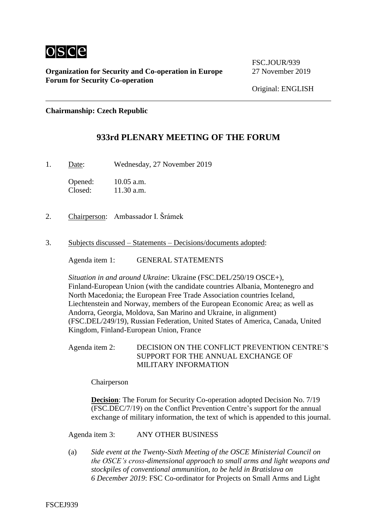

**Organization for Security and Co-operation in Europe** 27 November 2019 **Forum for Security Co-operation**

FSC. JOUR/939

Original: ENGLISH

**Chairmanship: Czech Republic**

## **933rd PLENARY MEETING OF THE FORUM**

1. Date: Wednesday, 27 November 2019

Opened: 10.05 a.m.<br>Closed: 11.30 a.m.  $11.30$  a.m.

- 2. Chairperson: Ambassador I. Šrámek
- 3. Subjects discussed Statements Decisions/documents adopted:

Agenda item 1: GENERAL STATEMENTS

*Situation in and around Ukraine*: Ukraine (FSC.DEL/250/19 OSCE+), Finland-European Union (with the candidate countries Albania, Montenegro and North Macedonia; the European Free Trade Association countries Iceland, Liechtenstein and Norway, members of the European Economic Area; as well as Andorra, Georgia, Moldova, San Marino and Ukraine, in alignment) (FSC.DEL/249/19), Russian Federation, United States of America, Canada, United Kingdom, Finland-European Union, France

Agenda item 2: DECISION ON THE CONFLICT PREVENTION CENTRE'S SUPPORT FOR THE ANNUAL EXCHANGE OF MILITARY INFORMATION

Chairperson

**Decision:** The Forum for Security Co-operation adopted Decision No. 7/19 (FSC.DEC/7/19) on the Conflict Prevention Centre's support for the annual exchange of military information, the text of which is appended to this journal.

Agenda item 3: ANY OTHER BUSINESS

(a) *Side event at the Twenty-Sixth Meeting of the OSCE Ministerial Council on the OSCE's cross-dimensional approach to small arms and light weapons and stockpiles of conventional ammunition, to be held in Bratislava on 6 December 2019*: FSC Co-ordinator for Projects on Small Arms and Light

FSCEJ939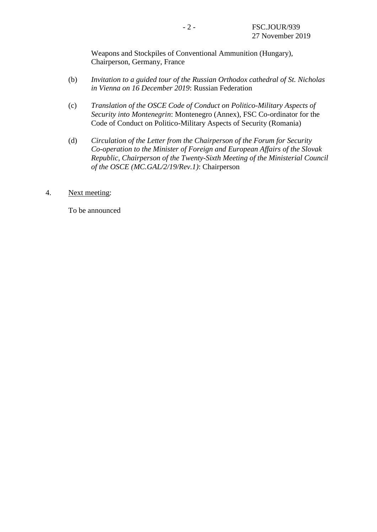Weapons and Stockpiles of Conventional Ammunition (Hungary), Chairperson, Germany, France

- (b) *Invitation to a guided tour of the Russian Orthodox cathedral of St. Nicholas in Vienna on 16 December 2019*: Russian Federation
- (c) *Translation of the OSCE Code of Conduct on Politico-Military Aspects of Security into Montenegrin*: Montenegro (Annex), FSC Co-ordinator for the Code of Conduct on Politico-Military Aspects of Security (Romania)
- (d) *Circulation of the Letter from the Chairperson of the Forum for Security Co-operation to the Minister of Foreign and European Affairs of the Slovak Republic, Chairperson of the Twenty-Sixth Meeting of the Ministerial Council of the OSCE (MC.GAL/2/19/Rev.1)*: Chairperson
- 4. Next meeting:

To be announced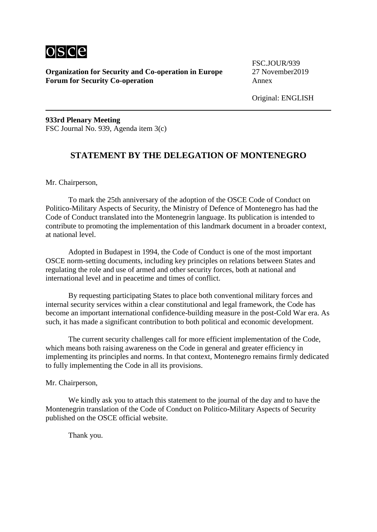

**Organization for Security and Co-operation in Europe** 27 November 2019 **Forum for Security Co-operation** Annex

FSC.JOUR/939

Original: ENGLISH

**933rd Plenary Meeting** FSC Journal No. 939, Agenda item 3(c)

## **STATEMENT BY THE DELEGATION OF MONTENEGRO**

Mr. Chairperson,

To mark the 25th anniversary of the adoption of the OSCE Code of Conduct on Politico-Military Aspects of Security, the Ministry of Defence of Montenegro has had the Code of Conduct translated into the Montenegrin language. Its publication is intended to contribute to promoting the implementation of this landmark document in a broader context, at national level.

Adopted in Budapest in 1994, the Code of Conduct is one of the most important OSCE norm-setting documents, including key principles on relations between States and regulating the role and use of armed and other security forces, both at national and international level and in peacetime and times of conflict.

By requesting participating States to place both conventional military forces and internal security services within a clear constitutional and legal framework, the Code has become an important international confidence-building measure in the post-Cold War era. As such, it has made a significant contribution to both political and economic development.

The current security challenges call for more efficient implementation of the Code, which means both raising awareness on the Code in general and greater efficiency in implementing its principles and norms. In that context, Montenegro remains firmly dedicated to fully implementing the Code in all its provisions.

Mr. Chairperson,

We kindly ask you to attach this statement to the journal of the day and to have the Montenegrin translation of the Code of Conduct on Politico-Military Aspects of Security published on the OSCE official website.

Thank you.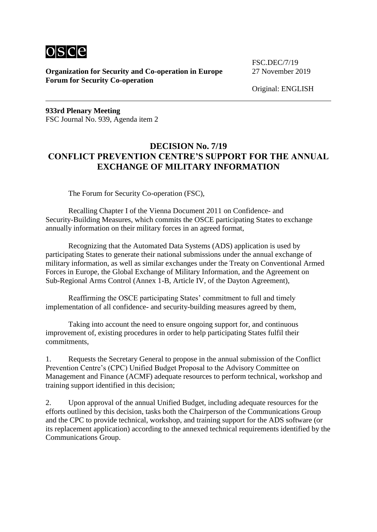

**Organization for Security and Co-operation in Europe** 27 November 2019 **Forum for Security Co-operation**

FSC.DEC/7/19

Original: ENGLISH

**933rd Plenary Meeting** FSC Journal No. 939, Agenda item 2

## **DECISION No. 7/19 CONFLICT PREVENTION CENTRE'S SUPPORT FOR THE ANNUAL EXCHANGE OF MILITARY INFORMATION**

The Forum for Security Co-operation (FSC),

Recalling Chapter I of the Vienna Document 2011 on Confidence- and Security-Building Measures, which commits the OSCE participating States to exchange annually information on their military forces in an agreed format,

Recognizing that the Automated Data Systems (ADS) application is used by participating States to generate their national submissions under the annual exchange of military information, as well as similar exchanges under the Treaty on Conventional Armed Forces in Europe, the Global Exchange of Military Information, and the Agreement on Sub-Regional Arms Control (Annex 1-B, Article IV, of the Dayton Agreement),

Reaffirming the OSCE participating States' commitment to full and timely implementation of all confidence- and security-building measures agreed by them,

Taking into account the need to ensure ongoing support for, and continuous improvement of, existing procedures in order to help participating States fulfil their commitments,

1. Requests the Secretary General to propose in the annual submission of the Conflict Prevention Centre's (CPC) Unified Budget Proposal to the Advisory Committee on Management and Finance (ACMF) adequate resources to perform technical, workshop and training support identified in this decision;

2. Upon approval of the annual Unified Budget, including adequate resources for the efforts outlined by this decision, tasks both the Chairperson of the Communications Group and the CPC to provide technical, workshop, and training support for the ADS software (or its replacement application) according to the annexed technical requirements identified by the Communications Group.